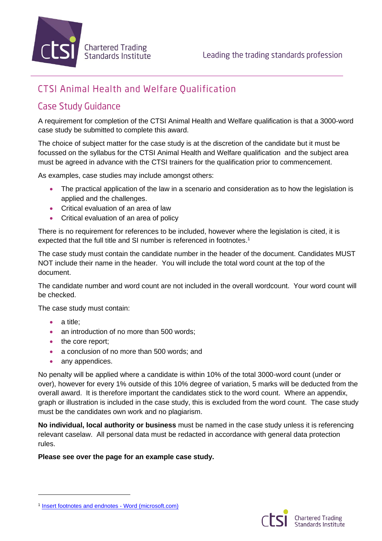

# **CTSI Animal Health and Welfare Qualification**

## **Case Study Guidance**

A requirement for completion of the CTSI Animal Health and Welfare qualification is that a 3000-word case study be submitted to complete this award.

The choice of subject matter for the case study is at the discretion of the candidate but it must be focussed on the syllabus for the CTSI Animal Health and Welfare qualification and the subject area must be agreed in advance with the CTSI trainers for the qualification prior to commencement.

As examples, case studies may include amongst others:

- The practical application of the law in a scenario and consideration as to how the legislation is applied and the challenges.
- Critical evaluation of an area of law
- Critical evaluation of an area of policy

There is no requirement for references to be included, however where the legislation is cited, it is expected that the full title and SI number is referenced in footnotes.<sup>1</sup>

The case study must contain the candidate number in the header of the document. Candidates MUST NOT include their name in the header. You will include the total word count at the top of the document.

The candidate number and word count are not included in the overall wordcount. Your word count will be checked.

The case study must contain:

- a title;
- an introduction of no more than 500 words;
- the core report:
- a conclusion of no more than 500 words; and
- any appendices.

No penalty will be applied where a candidate is within 10% of the total 3000-word count (under or over), however for every 1% outside of this 10% degree of variation, 5 marks will be deducted from the overall award. It is therefore important the candidates stick to the word count. Where an appendix, graph or illustration is included in the case study, this is excluded from the word count. The case study must be the candidates own work and no plagiarism.

**No individual, local authority or business** must be named in the case study unless it is referencing relevant caselaw. All personal data must be redacted in accordance with general data protection rules.

**Please see over the page for an example case study.**

<sup>&</sup>lt;sup>1</sup> [Insert footnotes and endnotes -](https://support.microsoft.com/en-us/office/insert-footnotes-and-endnotes-61f3fb1a-4717-414c-9a8f-015a5f3ff4cb) Word (microsoft.com)